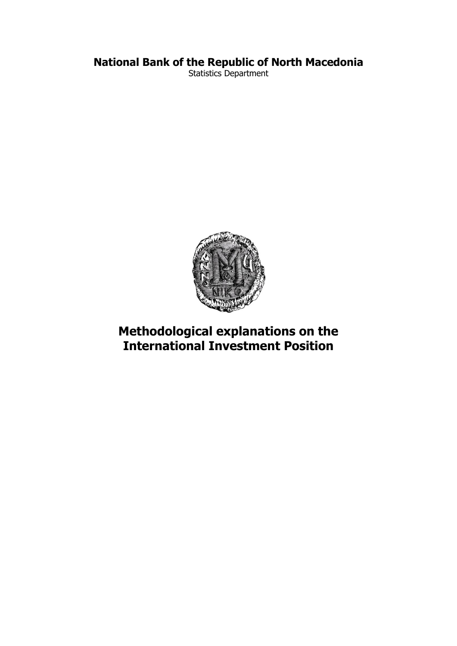## **National Bank of the Republic of North Macedonia**

Statistics Department



# **Methodological explanations on the International Investment Position**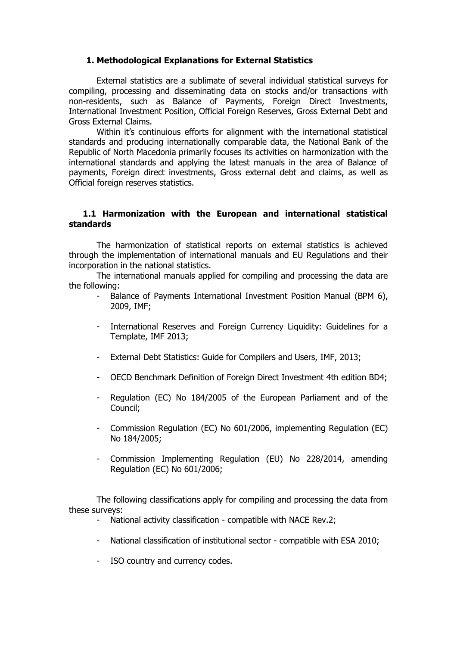### **1. Methodological Explanations for External Statistics**

External statistics are a sublimate of several individual statistical surveys for compiling, processing and disseminating data on stocks and/or transactions with non-residents, such as Balance of Payments, Foreign Direct Investments, International Investment Position, Official Foreign Reserves, Gross External Debt and Gross External Claims.

Within it's continuious efforts for alignment with the international statistical standards and producing internationally comparable data, the National Bank of the Republic of North Macedonia primarily focuses its activities on harmonization with the international standards and applying the latest manuals in the area of Balance of payments, Foreign direct investments, Gross external debt and claims, as well as Official foreign reserves statistics.

#### **1.1 Harmonization with the European and international statistical standards**

The harmonization of statistical reports on external statistics is achieved through the implementation of international manuals and EU Regulations and their incorporation in the national statistics.

The international manuals applied for compiling and processing the data are the following:

- Balance of Payments International Investment Position Manual (BPM 6), 2009, IMF;
- International Reserves and Foreign Currency Liquidity: Guidelines for a Template, IMF 2013;
- External Debt Statistics: Guide for Compilers and Users, IMF, 2013;
- OECD Benchmark Definition of Foreign Direct Investment 4th edition BD4;
- Regulation (EC) No 184/2005 of the European Parliament and of the Council;
- Commission Regulation (EC) No 601/2006, implementing Regulation (EC) No 184/2005;
- Commission Implementing Regulation (EU) No 228/2014, amending Regulation (EC) No 601/2006;

The following classifications apply for compiling and processing the data from these surveys:

- National activity classification compatible with NACE Rev.2;
- National classification of institutional sector compatible with ESA 2010;
- ISO country and currency codes.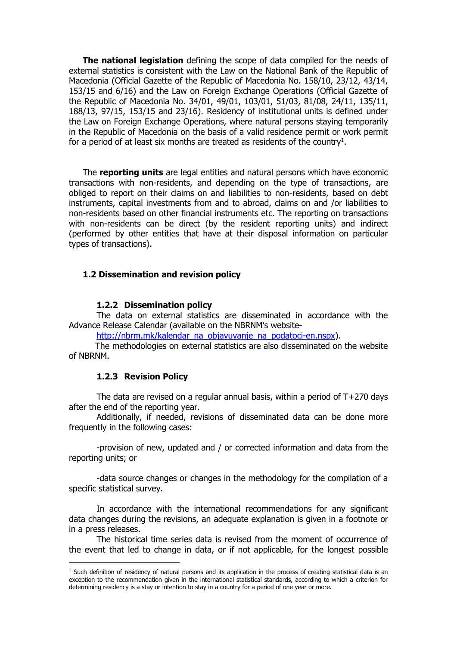**The national legislation** defining the scope of data compiled for the needs of external statistics is consistent with the Law on the National Bank of the Republic of Macedonia (Official Gazette of the Republic of Macedonia No. 158/10, 23/12, 43/14, 153/15 and 6/16) and the Law on Foreign Exchange Operations (Official Gazette of the Republic of Macedonia No. 34/01, 49/01, 103/01, 51/03, 81/08, 24/11, 135/11, 188/13, 97/15, 153/15 and 23/16). Residency of institutional units is defined under the Law on Foreign Exchange Operations, where natural persons staying temporarily in the Republic of Macedonia on the basis of a valid residence permit or work permit for a period of at least six months are treated as residents of the country<sup>1</sup>.

The **reporting units** are legal entities and natural persons which have economic transactions with non-residents, and depending on the type of transactions, are obliged to report on their claims on and liabilities to non-residents, based on debt instruments, capital investments from and to abroad, claims on and /or liabilities to non-residents based on other financial instruments etc. The reporting on transactions with non-residents can be direct (by the resident reporting units) and indirect (performed by other entities that have at their disposal information on particular types of transactions).

#### **1.2 Dissemination and revision policy**

#### **1.2.2 Dissemination policy**

The data on external statistics are disseminated in accordance with the Advance Release Calendar (available on the NBRNM's website-

[http://nbrm.mk/kalendar\\_na\\_objavuvanje\\_na\\_podatoci-en.nspx\)](http://nbrm.mk/kalendar_na_objavuvanje_na_podatoci-en.nspx).

 The methodologies on external statistics are also disseminated on the website of NBRNM.

#### **1.2.3 Revision Policy**

 $\overline{a}$ 

The data are revised on a regular annual basis, within a period of T+270 days after the end of the reporting year.

Additionally, if needed, revisions of disseminated data can be done more frequently in the following cases:

-provision of new, updated and / or corrected information and data from the reporting units; or

-data source changes or changes in the methodology for the compilation of a specific statistical survey.

In accordance with the international recommendations for any significant data changes during the revisions, an adequate explanation is given in a footnote or in a press releases.

The historical time series data is revised from the moment of occurrence of the event that led to change in data, or if not applicable, for the longest possible

 $<sup>1</sup>$  Such definition of residency of natural persons and its application in the process of creating statistical data is an</sup> exception to the recommendation given in the international statistical standards, according to which a criterion for determining residency is a stay or intention to stay in a country for a period of one year or more.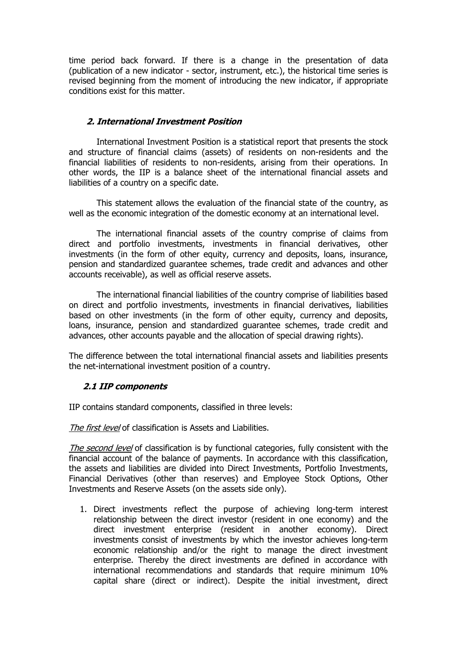time period back forward. If there is a change in the presentation of data (publication of a new indicator - sector, instrument, etc.), the historical time series is revised beginning from the moment of introducing the new indicator, if appropriate conditions exist for this matter.

#### **2. International Investment Position**

International Investment Position is a statistical report that presents the stock and structure of financial claims (assets) of residents on non-residents and the financial liabilities of residents to non-residents, arising from their operations. In other words, the IIP is a balance sheet of the international financial assets and liabilities of a country on a specific date.

This statement allows the evaluation of the financial state of the country, as well as the economic integration of the domestic economy at an international level.

The international financial assets of the country comprise of claims from direct and portfolio investments, investments in financial derivatives, other investments (in the form of other equity, currency and deposits, loans, insurance, pension and standardized guarantee schemes, trade credit and advances and other accounts receivable), as well as official reserve assets.

The international financial liabilities of the country comprise of liabilities based on direct and portfolio investments, investments in financial derivatives, liabilities based on other investments (in the form of other equity, currency and deposits, loans, insurance, pension and standardized guarantee schemes, trade credit and advances, other accounts payable and the allocation of special drawing rights).

The difference between the total international financial assets and liabilities presents the net-international investment position of a country.

## **2.1 IIP components**

IIP contains standard components, classified in three levels:

The first level of classification is Assets and Liabilities.

The second level of classification is by functional categories, fully consistent with the financial account of the balance of payments. In accordance with this classification, the assets and liabilities are divided into Direct Investments, Portfolio Investments, Financial Derivatives (other than reserves) and Employee Stock Options, Other Investments and Reserve Assets (on the assets side only).

1. Direct investments reflect the purpose of achieving long-term interest relationship between the direct investor (resident in one economy) and the direct investment enterprise (resident in another economy). Direct investments consist of investments by which the investor achieves long-term economic relationship and/or the right to manage the direct investment enterprise. Thereby the direct investments are defined in accordance with international recommendations and standards that require minimum 10% capital share (direct or indirect). Despite the initial investment, direct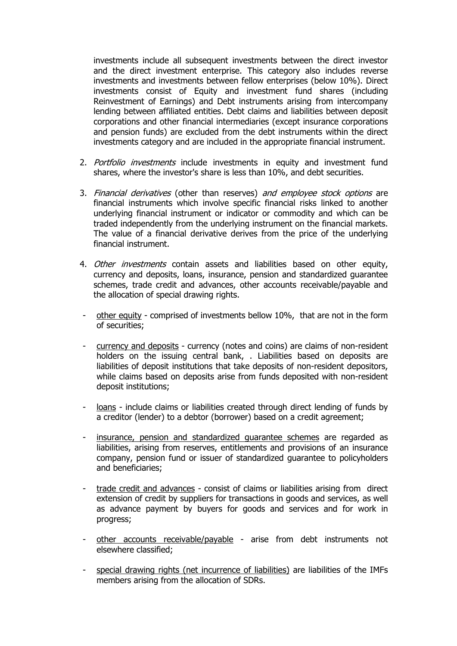investments include all subsequent investments between the direct investor and the direct investment enterprise. This category also includes reverse investments and investments between fellow enterprises (below 10%). Direct investments consist of Equity and investment fund shares (including Reinvestment of Earnings) and Debt instruments arising from intercompany lending between affiliated entities. Debt claims and liabilities between deposit corporations and other financial intermediaries (except insurance corporations and pension funds) are excluded from the debt instruments within the direct investments category and are included in the appropriate financial instrument.

- 2. Portfolio investments include investments in equity and investment fund shares, where the investor's share is less than 10%, and debt securities.
- 3. Financial derivatives (other than reserves) and employee stock options are financial instruments which involve specific financial risks linked to another underlying financial instrument or indicator or commodity and which can be traded independently from the underlying instrument on the financial markets. The value of a financial derivative derives from the price of the underlying financial instrument.
- 4. Other investments contain assets and liabilities based on other equity, currency and deposits, loans, insurance, pension and standardized guarantee schemes, trade credit and advances, other accounts receivable/payable and the allocation of special drawing rights.
- other equity comprised of investments bellow 10%, that are not in the form of securities;
- currency and deposits currency (notes and coins) are claims of non-resident holders on the issuing central bank, . Liabilities based on deposits are liabilities of deposit institutions that take deposits of non-resident depositors, while claims based on deposits arise from funds deposited with non-resident deposit institutions;
- loans include claims or liabilities created through direct lending of funds by a creditor (lender) to a debtor (borrower) based on a credit agreement;
- insurance, pension and standardized quarantee schemes are regarded as liabilities, arising from reserves, entitlements and provisions of an insurance company, pension fund or issuer of standardized guarantee to policyholders and beneficiaries;
- trade credit and advances consist of claims or liabilities arising from direct extension of credit by suppliers for transactions in goods and services, as well as advance payment by buyers for goods and services and for work in progress;
- other accounts receivable/payable arise from debt instruments not elsewhere classified;
- special drawing rights (net incurrence of liabilities) are liabilities of the IMFs members arising from the allocation of SDRs.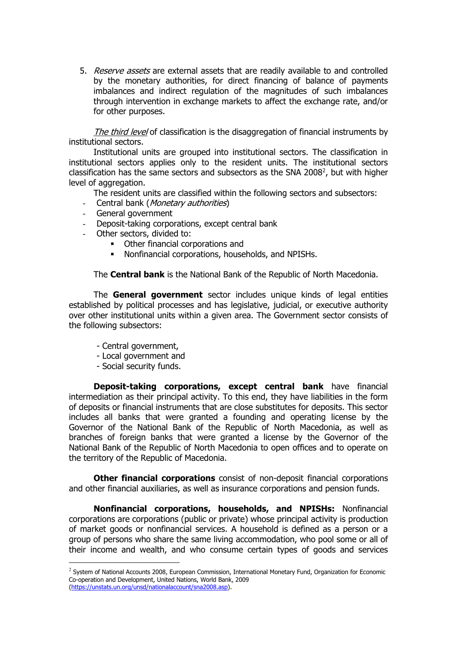5. Reserve assets are external assets that are readily available to and controlled by the monetary authorities, for direct financing of balance of payments imbalances and indirect regulation of the magnitudes of such imbalances through intervention in exchange markets to affect the exchange rate, and/or for other purposes.

The third level of classification is the disaggregation of financial instruments by institutional sectors.

Institutional units are grouped into institutional sectors. The classification in institutional sectors applies only to the resident units. The institutional sectors classification has the same sectors and subsectors as the SNA 2008 $^2$ , but with higher level of aggregation.

The resident units are classified within the following sectors and subsectors:

- Central bank (*Monetary authorities*)
- General government
- Deposit-taking corporations, except central bank
- Other sectors, divided to:
	- Other financial corporations and
	- Nonfinancial corporations, households, and NPISHs.

The **Central bank** is the National Bank of the Republic of North Macedonia.

The **General government** sector includes unique kinds of legal entities established by political processes and has legislative, judicial, or executive authority over other institutional units within a given area. The Government sector consists of the following subsectors:

- Central government,
- Local government and
- Social security funds.

 $\overline{a}$ 

**Deposit-taking corporations, except central bank** have financial intermediation as their principal activity. To this end, they have liabilities in the form of deposits or financial instruments that are close substitutes for deposits. This sector includes all banks that were granted a founding and operating license by the Governor of the National Bank of the Republic of North Macedonia, as well as branches of foreign banks that were granted a license by the Governor of the National Bank of the Republic of North Macedonia to open offices and to operate on the territory of the Republic of Macedonia.

**Other financial corporations** consist of non-deposit financial corporations and other financial auxiliaries, as well as insurance corporations and pension funds.

**Nonfinancial corporations, households, and NPISHs:** Nonfinancial corporations are corporations (public or private) whose principal activity is production of market goods or nonfinancial services. A household is defined as a person or a group of persons who share the same living accommodation, who pool some or all of their income and wealth, and who consume certain types of goods and services

<sup>&</sup>lt;sup>2</sup> System of National Accounts 2008, European Commission, International Monetary Fund, Organization for Economic Co-operation and Development, United Nations, World Bank, 2009 [\(https://unstats.un.org/unsd/nationalaccount/sna2008.asp\)](https://unstats.un.org/unsd/nationalaccount/sna2008.asp).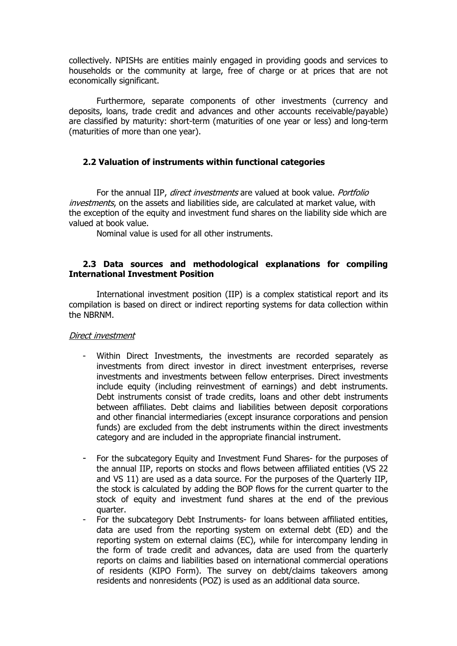collectively. NPISHs are entities mainly engaged in providing goods and services to households or the community at large, free of charge or at prices that are not economically significant.

Furthermore, separate components of other investments (currency and deposits, loans, trade credit and advances and other accounts receivable/payable) are classified by maturity: short-term (maturities of one year or less) and long-term (maturities of more than one year).

#### **2.2 Valuation of instruments within functional categories**

For the annual IIP, direct investments are valued at book value. Portfolio investments, on the assets and liabilities side, are calculated at market value, with the exception of the equity and investment fund shares on the liability side which are valued at book value.

Nominal value is used for all other instruments.

#### **2.3 Data sources and methodological explanations for compiling International Investment Position**

International investment position (IIP) is a complex statistical report and its compilation is based on direct or indirect reporting systems for data collection within the NBRNM.

#### Direct investment

- Within Direct Investments, the investments are recorded separately as investments from direct investor in direct investment enterprises, reverse investments and investments between fellow enterprises. Direct investments include equity (including reinvestment of earnings) and debt instruments. Debt instruments consist of trade credits, loans and other debt instruments between affiliates. Debt claims and liabilities between deposit corporations and other financial intermediaries (except insurance corporations and pension funds) are excluded from the debt instruments within the direct investments category and are included in the appropriate financial instrument.
- For the subcategory Equity and Investment Fund Shares- for the purposes of the annual IIP, reports on stocks and flows between affiliated entities (VS 22 and VS 11) are used as a data source. For the purposes of the Quarterly IIP, the stock is calculated by adding the BOP flows for the current quarter to the stock of equity and investment fund shares at the end of the previous quarter.
- For the subcategory Debt Instruments- for loans between affiliated entities, data are used from the reporting system on external debt (ED) and the reporting system on external claims (EC), while for intercompany lending in the form of trade credit and advances, data are used from the quarterly reports on claims and liabilities based on international commercial operations of residents (KIPO Form). The survey on debt/claims takeovers among residents and nonresidents (POZ) is used as an additional data source.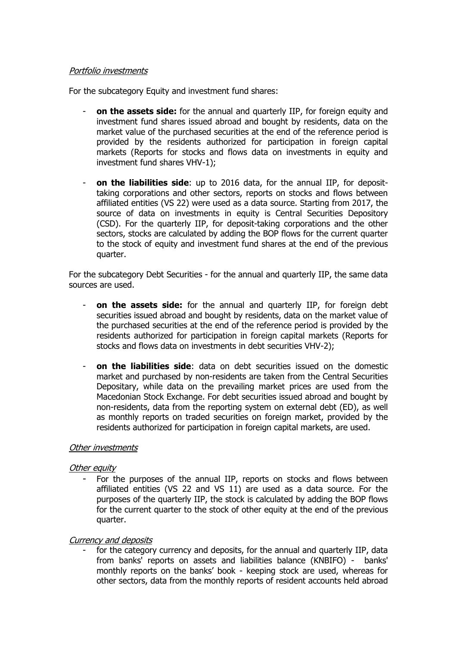#### Portfolio investments

For the subcategory Equity and investment fund shares:

- **on the assets side:** for the annual and quarterly IIP, for foreign equity and investment fund shares issued abroad and bought by residents, data on the market value of the purchased securities at the end of the reference period is provided by the residents authorized for participation in foreign capital markets (Reports for stocks and flows data on investments in equity and investment fund shares VHV-1);
- **on the liabilities side**: up to 2016 data, for the annual IIP, for deposittaking corporations and other sectors, reports on stocks and flows between affiliated entities (VS 22) were used as a data source. Starting from 2017, the source of data on investments in equity is Central Securities Depository (CSD). For the quarterly IIP, for deposit-taking corporations and the other sectors, stocks are calculated by adding the BOP flows for the current quarter to the stock of equity and investment fund shares at the end of the previous quarter.

For the subcategory Debt Securities - for the annual and quarterly IIP, the same data sources are used.

- **on the assets side:** for the annual and quarterly IIP, for foreign debt securities issued abroad and bought by residents, data on the market value of the purchased securities at the end of the reference period is provided by the residents authorized for participation in foreign capital markets (Reports for stocks and flows data on investments in debt securities VHV-2);
- **on the liabilities side**: data on debt securities issued on the domestic market and purchased by non-residents are taken from the Central Securities Depositary, while data on the prevailing market prices are used from the Macedonian Stock Exchange. For debt securities issued abroad and bought by non-residents, data from the reporting system on external debt (ED), as well as monthly reports on traded securities on foreign market, provided by the residents authorized for participation in foreign capital markets, are used.

#### Other investments

#### Other equity

For the purposes of the annual IIP, reports on stocks and flows between affiliated entities (VS 22 and VS 11) are used as a data source. For the purposes of the quarterly IIP, the stock is calculated by adding the BOP flows for the current quarter to the stock of other equity at the end of the previous quarter.

#### Currency and deposits

for the category currency and deposits, for the annual and quarterly IIP, data from banks' reports on assets and liabilities balance (KNBIFO) - banks' monthly reports on the banks' book - keeping stock are used, whereas for other sectors, data from the monthly reports of resident accounts held abroad